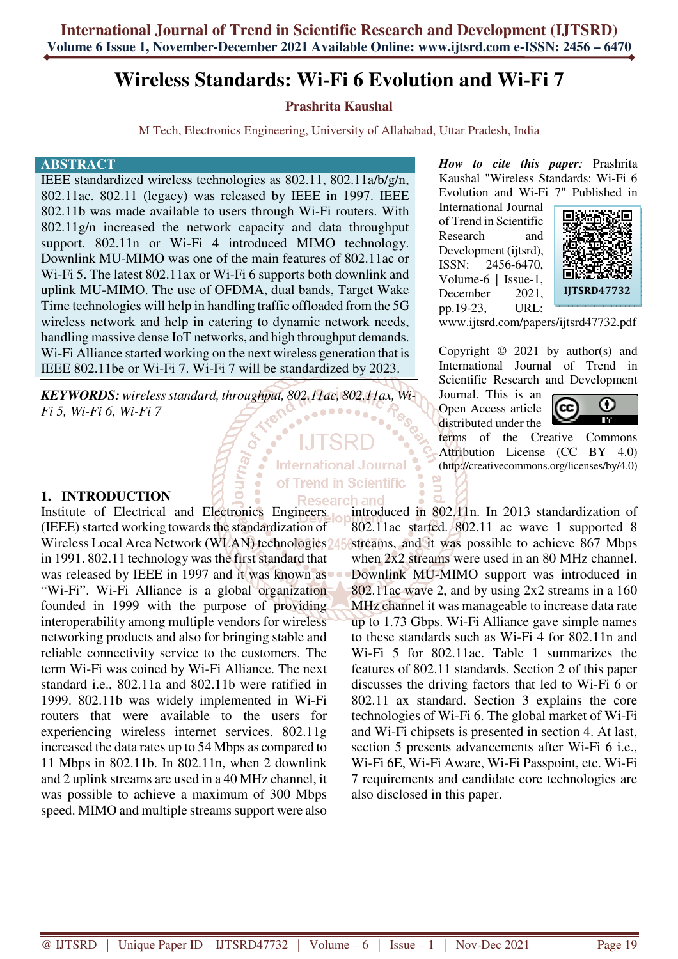# **Wireless Standards: Wi-Fi 6 Evolution and Wi-Fi 7**

# **Prashrita Kaushal**

M Tech, Electronics Engineering, University of Allahabad, Uttar Pradesh, India

**International Journal** of Trend in Scientific Research and

#### **ABSTRACT**

IEEE standardized wireless technologies as 802.11, 802.11a/b/g/n, 802.11ac. 802.11 (legacy) was released by IEEE in 1997. IEEE 802.11b was made available to users through Wi-Fi routers. With 802.11g/n increased the network capacity and data throughput support. 802.11n or Wi-Fi 4 introduced MIMO technology. Downlink MU-MIMO was one of the main features of 802.11ac or Wi-Fi 5. The latest 802.11ax or Wi-Fi 6 supports both downlink and uplink MU-MIMO. The use of OFDMA, dual bands, Target Wake Time technologies will help in handling traffic offloaded from the 5G wireless network and help in catering to dynamic network needs, handling massive dense IoT networks, and high throughput demands. Wi-Fi Alliance started working on the next wireless generation that is IEEE 802.11be or Wi-Fi 7. Wi-Fi 7 will be standardized by 2023.

*KEYWORDS: wireless standard, throughput, 802.11ac, 802.11ax, Wi-Fi 5, Wi-Fi 6, Wi-Fi 7* 

Veur

## **1. INTRODUCTION**

Institute of Electrical and Electronics Engineers (IEEE) started working towards the standardization of Wireless Local Area Network (WLAN) technologies in 1991. 802.11 technology was the first standard that was released by IEEE in 1997 and it was known as "Wi-Fi". Wi-Fi Alliance is a global organization founded in 1999 with the purpose of providing interoperability among multiple vendors for wireless networking products and also for bringing stable and reliable connectivity service to the customers. The term Wi-Fi was coined by Wi-Fi Alliance. The next standard i.e., 802.11a and 802.11b were ratified in 1999. 802.11b was widely implemented in Wi-Fi routers that were available to the users for experiencing wireless internet services. 802.11g increased the data rates up to 54 Mbps as compared to 11 Mbps in 802.11b. In 802.11n, when 2 downlink and 2 uplink streams are used in a 40 MHz channel, it was possible to achieve a maximum of 300 Mbps speed. MIMO and multiple streams support were also

*How to cite this paper:* Prashrita Kaushal "Wireless Standards: Wi-Fi 6 Evolution and Wi-Fi 7" Published in

International Journal of Trend in Scientific Research and Development (ijtsrd), ISSN: 2456-6470, Volume-6 | Issue-1, December 2021, pp.19-23, URL:



www.ijtsrd.com/papers/ijtsrd47732.pdf

Copyright  $\odot$  2021 by author(s) and International Journal of Trend in Scientific Research and Development

Journal. This is an Open Access article distributed under the



terms of the Creative Commons Attribution License (CC BY 4.0) (http://creativecommons.org/licenses/by/4.0)

introduced in 802.11n. In 2013 standardization of 802.11ac started. 802.11 ac wave 1 supported 8 streams, and it was possible to achieve 867 Mbps when  $2x2$  streams were used in an 80 MHz channel. Downlink MU-MIMO support was introduced in 802.11ac wave 2, and by using 2x2 streams in a 160 MHz channel it was manageable to increase data rate up to 1.73 Gbps. Wi-Fi Alliance gave simple names to these standards such as Wi-Fi 4 for 802.11n and Wi-Fi 5 for 802.11ac. Table 1 summarizes the features of 802.11 standards. Section 2 of this paper discusses the driving factors that led to Wi-Fi 6 or 802.11 ax standard. Section 3 explains the core technologies of Wi-Fi 6. The global market of Wi-Fi and Wi-Fi chipsets is presented in section 4. At last, section 5 presents advancements after Wi-Fi 6 i.e., Wi-Fi 6E, Wi-Fi Aware, Wi-Fi Passpoint, etc. Wi-Fi 7 requirements and candidate core technologies are also disclosed in this paper.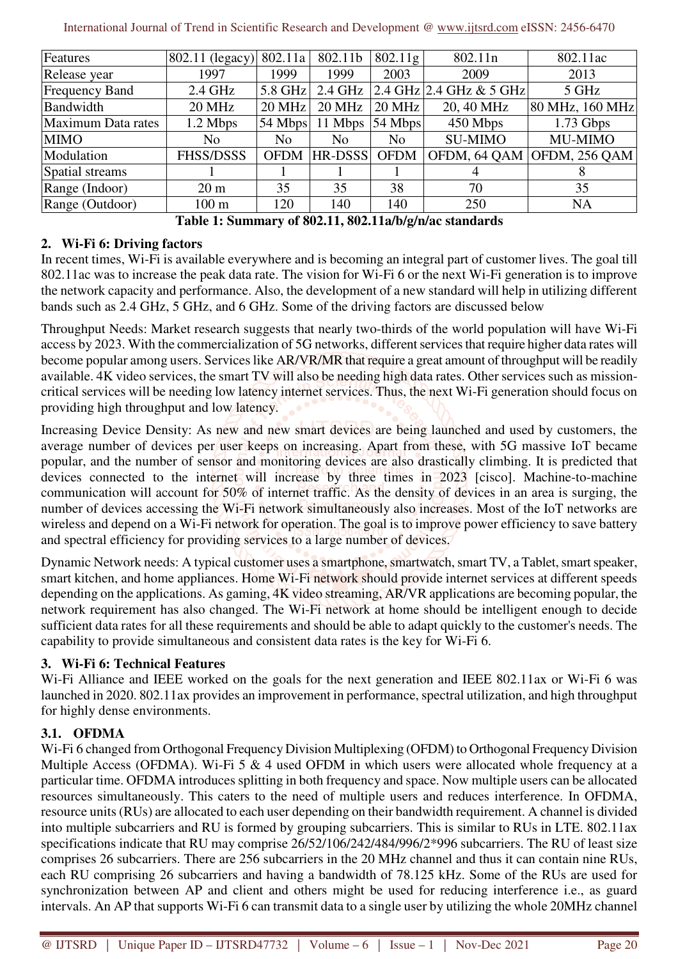| Features              | 802.11 (legacy)  | 802.11a        | 802.11b | 802.11g           | 802.11n                    | 802.11ac                   |
|-----------------------|------------------|----------------|---------|-------------------|----------------------------|----------------------------|
| Release year          | 1997             | 1999           | 1999    | 2003              | 2009                       | 2013                       |
| <b>Frequency Band</b> | $2.4$ GHz        | $5.8$ GHz      | 2.4 GHz |                   | 2.4 GHz 2.4 GHz $\&$ 5 GHz | 5 GHz                      |
| Bandwidth             | <b>20 MHz</b>    | $20$ MHz       | 20 MHz  | <b>20 MHz</b>     | 20, 40 MHz                 | 80 MHz, 160 MHz            |
| Maximum Data rates    | 1.2 Mbps         | 54 Mbps        | 11 Mbps | $54 \text{ Mbps}$ | 450 Mbps                   | $1.73$ Gbps                |
| <b>MIMO</b>           | No               | N <sub>o</sub> | No.     | N <sub>o</sub>    | <b>SU-MIMO</b>             | MU-MIMO                    |
| Modulation            | <b>FHSS/DSSS</b> | <b>OFDM</b>    | HR-DSSS | <b>OFDM</b>       |                            | OFDM, 64 QAM OFDM, 256 QAM |
| Spatial streams       |                  |                |         |                   | 4                          |                            |
| Range (Indoor)        | 20 <sub>m</sub>  | 35             | 35      | 38                | 70                         | 35                         |
| Range (Outdoor)       | $100 \text{ m}$  | 120            | 140     | 140               | 250                        | <b>NA</b>                  |

**Table 1: Summary of 802.11, 802.11a/b/g/n/ac standards** 

# **2. Wi-Fi 6: Driving factors**

In recent times, Wi-Fi is available everywhere and is becoming an integral part of customer lives. The goal till 802.11ac was to increase the peak data rate. The vision for Wi-Fi 6 or the next Wi-Fi generation is to improve the network capacity and performance. Also, the development of a new standard will help in utilizing different bands such as 2.4 GHz, 5 GHz, and 6 GHz. Some of the driving factors are discussed below

Throughput Needs: Market research suggests that nearly two-thirds of the world population will have Wi-Fi access by 2023. With the commercialization of 5G networks, different services that require higher data rates will become popular among users. Services like AR/VR/MR that require a great amount of throughput will be readily available. 4K video services, the smart TV will also be needing high data rates. Other services such as missioncritical services will be needing low latency internet services. Thus, the next Wi-Fi generation should focus on providing high throughput and low latency.

Increasing Device Density: As new and new smart devices are being launched and used by customers, the average number of devices per user keeps on increasing. Apart from these, with 5G massive IoT became popular, and the number of sensor and monitoring devices are also drastically climbing. It is predicted that devices connected to the internet will increase by three times in 2023 [cisco]. Machine-to-machine communication will account for 50% of internet traffic. As the density of devices in an area is surging, the number of devices accessing the Wi-Fi network simultaneously also increases. Most of the IoT networks are wireless and depend on a Wi-Fi network for operation. The goal is to improve power efficiency to save battery and spectral efficiency for providing services to a large number of devices.

Dynamic Network needs: A typical customer uses a smartphone, smartwatch, smart TV, a Tablet, smart speaker, smart kitchen, and home appliances. Home Wi-Fi network should provide internet services at different speeds depending on the applications. As gaming, 4K video streaming, AR/VR applications are becoming popular, the network requirement has also changed. The Wi-Fi network at home should be intelligent enough to decide sufficient data rates for all these requirements and should be able to adapt quickly to the customer's needs. The capability to provide simultaneous and consistent data rates is the key for Wi-Fi 6.

# **3. Wi-Fi 6: Technical Features**

Wi-Fi Alliance and IEEE worked on the goals for the next generation and IEEE 802.11ax or Wi-Fi 6 was launched in 2020. 802.11ax provides an improvement in performance, spectral utilization, and high throughput for highly dense environments.

# **3.1. OFDMA**

Wi-Fi 6 changed from Orthogonal Frequency Division Multiplexing (OFDM) to Orthogonal Frequency Division Multiple Access (OFDMA). Wi-Fi 5 & 4 used OFDM in which users were allocated whole frequency at a particular time. OFDMA introduces splitting in both frequency and space. Now multiple users can be allocated resources simultaneously. This caters to the need of multiple users and reduces interference. In OFDMA, resource units (RUs) are allocated to each user depending on their bandwidth requirement. A channel is divided into multiple subcarriers and RU is formed by grouping subcarriers. This is similar to RUs in LTE. 802.11ax specifications indicate that RU may comprise 26/52/106/242/484/996/2\*996 subcarriers. The RU of least size comprises 26 subcarriers. There are 256 subcarriers in the 20 MHz channel and thus it can contain nine RUs, each RU comprising 26 subcarriers and having a bandwidth of 78.125 kHz. Some of the RUs are used for synchronization between AP and client and others might be used for reducing interference i.e., as guard intervals. An AP that supports Wi-Fi 6 can transmit data to a single user by utilizing the whole 20MHz channel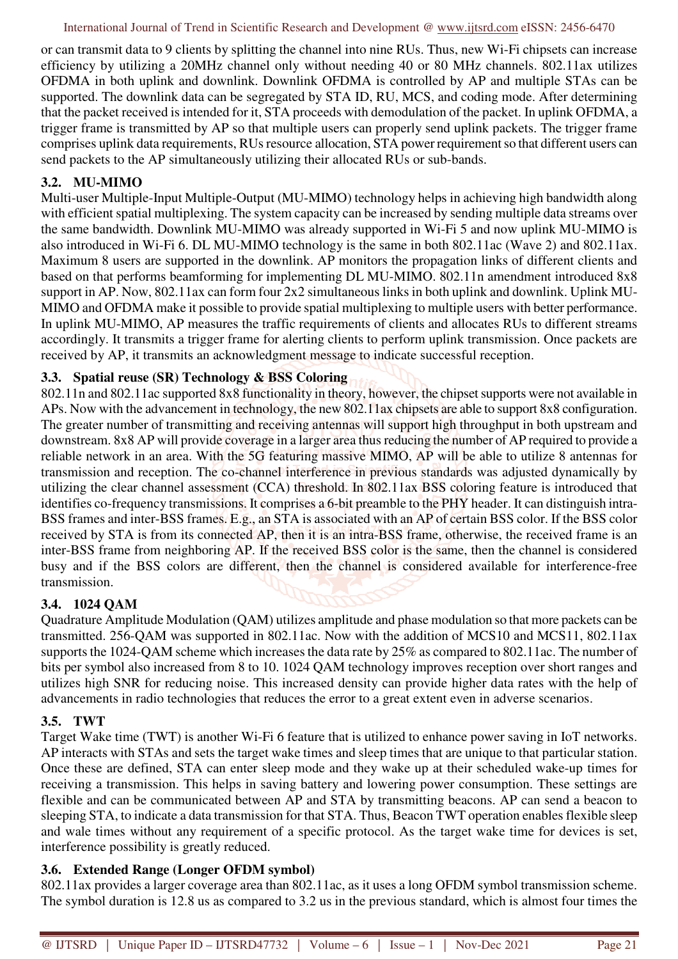or can transmit data to 9 clients by splitting the channel into nine RUs. Thus, new Wi-Fi chipsets can increase efficiency by utilizing a 20MHz channel only without needing 40 or 80 MHz channels. 802.11ax utilizes OFDMA in both uplink and downlink. Downlink OFDMA is controlled by AP and multiple STAs can be supported. The downlink data can be segregated by STA ID, RU, MCS, and coding mode. After determining that the packet received is intended for it, STA proceeds with demodulation of the packet. In uplink OFDMA, a trigger frame is transmitted by AP so that multiple users can properly send uplink packets. The trigger frame comprises uplink data requirements, RUs resource allocation, STA power requirement so that different users can send packets to the AP simultaneously utilizing their allocated RUs or sub-bands.

# **3.2. MU-MIMO**

Multi-user Multiple-Input Multiple-Output (MU-MIMO) technology helps in achieving high bandwidth along with efficient spatial multiplexing. The system capacity can be increased by sending multiple data streams over the same bandwidth. Downlink MU-MIMO was already supported in Wi-Fi 5 and now uplink MU-MIMO is also introduced in Wi-Fi 6. DL MU-MIMO technology is the same in both 802.11ac (Wave 2) and 802.11ax. Maximum 8 users are supported in the downlink. AP monitors the propagation links of different clients and based on that performs beamforming for implementing DL MU-MIMO. 802.11n amendment introduced 8x8 support in AP. Now, 802.11ax can form four 2x2 simultaneous links in both uplink and downlink. Uplink MU-MIMO and OFDMA make it possible to provide spatial multiplexing to multiple users with better performance. In uplink MU-MIMO, AP measures the traffic requirements of clients and allocates RUs to different streams accordingly. It transmits a trigger frame for alerting clients to perform uplink transmission. Once packets are received by AP, it transmits an acknowledgment message to indicate successful reception.

## **3.3. Spatial reuse (SR) Technology & BSS Coloring**

802.11n and 802.11ac supported 8x8 functionality in theory, however, the chipset supports were not available in APs. Now with the advancement in technology, the new 802.11ax chipsets are able to support 8x8 configuration. The greater number of transmitting and receiving antennas will support high throughput in both upstream and downstream. 8x8 AP will provide coverage in a larger area thus reducing the number of AP required to provide a reliable network in an area. With the 5G featuring massive MIMO, AP will be able to utilize 8 antennas for transmission and reception. The co-channel interference in previous standards was adjusted dynamically by utilizing the clear channel assessment (CCA) threshold. In 802.11ax BSS coloring feature is introduced that identifies co-frequency transmissions. It comprises a 6-bit preamble to the PHY header. It can distinguish intra-BSS frames and inter-BSS frames. E.g., an STA is associated with an AP of certain BSS color. If the BSS color received by STA is from its connected AP, then it is an intra-BSS frame, otherwise, the received frame is an inter-BSS frame from neighboring AP. If the received BSS color is the same, then the channel is considered busy and if the BSS colors are different, then the channel is considered available for interference-free transmission.

# **3.4. 1024 QAM**

Quadrature Amplitude Modulation (QAM) utilizes amplitude and phase modulation so that more packets can be transmitted. 256-QAM was supported in 802.11ac. Now with the addition of MCS10 and MCS11, 802.11ax supports the 1024-QAM scheme which increases the data rate by 25% as compared to 802.11ac. The number of bits per symbol also increased from 8 to 10. 1024 QAM technology improves reception over short ranges and utilizes high SNR for reducing noise. This increased density can provide higher data rates with the help of advancements in radio technologies that reduces the error to a great extent even in adverse scenarios.

## **3.5. TWT**

Target Wake time (TWT) is another Wi-Fi 6 feature that is utilized to enhance power saving in IoT networks. AP interacts with STAs and sets the target wake times and sleep times that are unique to that particular station. Once these are defined, STA can enter sleep mode and they wake up at their scheduled wake-up times for receiving a transmission. This helps in saving battery and lowering power consumption. These settings are flexible and can be communicated between AP and STA by transmitting beacons. AP can send a beacon to sleeping STA, to indicate a data transmission for that STA. Thus, Beacon TWT operation enables flexible sleep and wale times without any requirement of a specific protocol. As the target wake time for devices is set, interference possibility is greatly reduced.

## **3.6. Extended Range (Longer OFDM symbol)**

802.11ax provides a larger coverage area than 802.11ac, as it uses a long OFDM symbol transmission scheme. The symbol duration is 12.8 us as compared to 3.2 us in the previous standard, which is almost four times the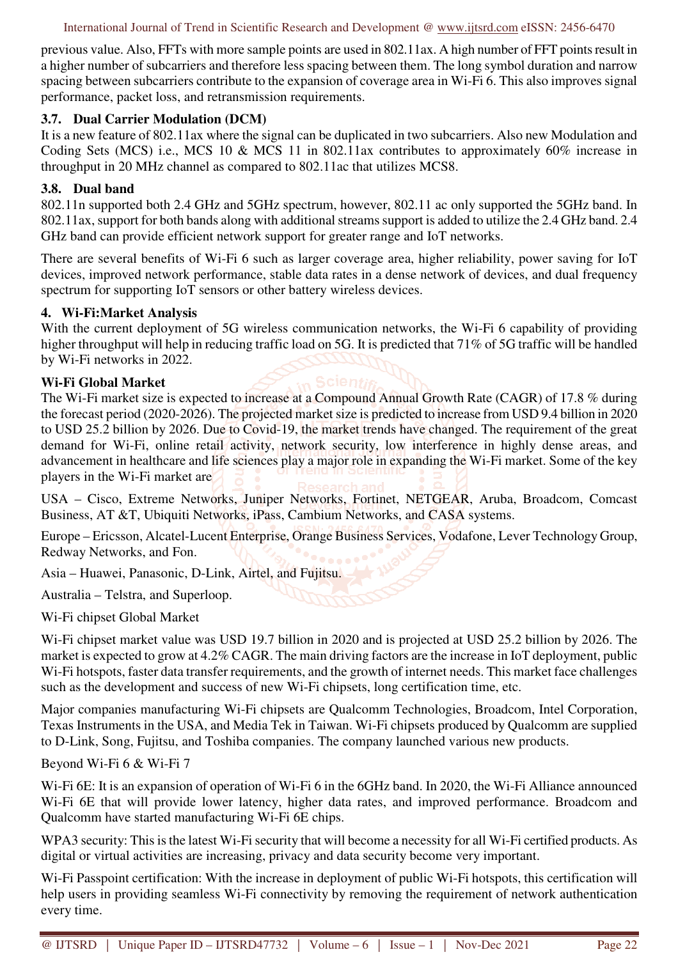previous value. Also, FFTs with more sample points are used in 802.11ax. A high number of FFT points result in a higher number of subcarriers and therefore less spacing between them. The long symbol duration and narrow spacing between subcarriers contribute to the expansion of coverage area in Wi-Fi 6. This also improves signal performance, packet loss, and retransmission requirements.

## **3.7. Dual Carrier Modulation (DCM)**

It is a new feature of 802.11ax where the signal can be duplicated in two subcarriers. Also new Modulation and Coding Sets (MCS) i.e., MCS 10 & MCS 11 in 802.11ax contributes to approximately 60% increase in throughput in 20 MHz channel as compared to 802.11ac that utilizes MCS8.

## **3.8. Dual band**

802.11n supported both 2.4 GHz and 5GHz spectrum, however, 802.11 ac only supported the 5GHz band. In 802.11ax, support for both bands along with additional streams support is added to utilize the 2.4 GHz band. 2.4 GHz band can provide efficient network support for greater range and IoT networks.

There are several benefits of Wi-Fi 6 such as larger coverage area, higher reliability, power saving for IoT devices, improved network performance, stable data rates in a dense network of devices, and dual frequency spectrum for supporting IoT sensors or other battery wireless devices.

#### **4. Wi-Fi:Market Analysis**

With the current deployment of 5G wireless communication networks, the Wi-Fi 6 capability of providing higher throughput will help in reducing traffic load on 5G. It is predicted that 71% of 5G traffic will be handled by Wi-Fi networks in 2022.

## **Wi-Fi Global Market**

The Wi-Fi market size is expected to increase at a Compound Annual Growth Rate (CAGR) of 17.8 % during the forecast period (2020-2026). The projected market size is predicted to increase from USD 9.4 billion in 2020 to USD 25.2 billion by 2026. Due to Covid-19, the market trends have changed. The requirement of the great demand for Wi-Fi, online retail activity, network security, low interference in highly dense areas, and advancement in healthcare and life sciences play a major role in expanding the Wi-Fi market. Some of the key players in the Wi-Fi market are

USA – Cisco, Extreme Networks, Juniper Networks, Fortinet, NETGEAR, Aruba, Broadcom, Comcast Business, AT &T, Ubiquiti Networks, iPass, Cambium Networks, and CASA systems.

Europe – Ericsson, Alcatel-Lucent Enterprise, Orange Business Services, Vodafone, Lever Technology Group, Redway Networks, and Fon.

Asia – Huawei, Panasonic, D-Link, Airtel, and Fujitsu.

Australia – Telstra, and Superloop.

Wi-Fi chipset Global Market

Wi-Fi chipset market value was USD 19.7 billion in 2020 and is projected at USD 25.2 billion by 2026. The market is expected to grow at 4.2% CAGR. The main driving factors are the increase in IoT deployment, public Wi-Fi hotspots, faster data transfer requirements, and the growth of internet needs. This market face challenges such as the development and success of new Wi-Fi chipsets, long certification time, etc.

Major companies manufacturing Wi-Fi chipsets are Qualcomm Technologies, Broadcom, Intel Corporation, Texas Instruments in the USA, and Media Tek in Taiwan. Wi-Fi chipsets produced by Qualcomm are supplied to D-Link, Song, Fujitsu, and Toshiba companies. The company launched various new products.

Beyond Wi-Fi 6 & Wi-Fi 7

Wi-Fi 6E: It is an expansion of operation of Wi-Fi 6 in the 6GHz band. In 2020, the Wi-Fi Alliance announced Wi-Fi 6E that will provide lower latency, higher data rates, and improved performance. Broadcom and Qualcomm have started manufacturing Wi-Fi 6E chips.

WPA3 security: This is the latest Wi-Fi security that will become a necessity for all Wi-Fi certified products. As digital or virtual activities are increasing, privacy and data security become very important.

Wi-Fi Passpoint certification: With the increase in deployment of public Wi-Fi hotspots, this certification will help users in providing seamless Wi-Fi connectivity by removing the requirement of network authentication every time.